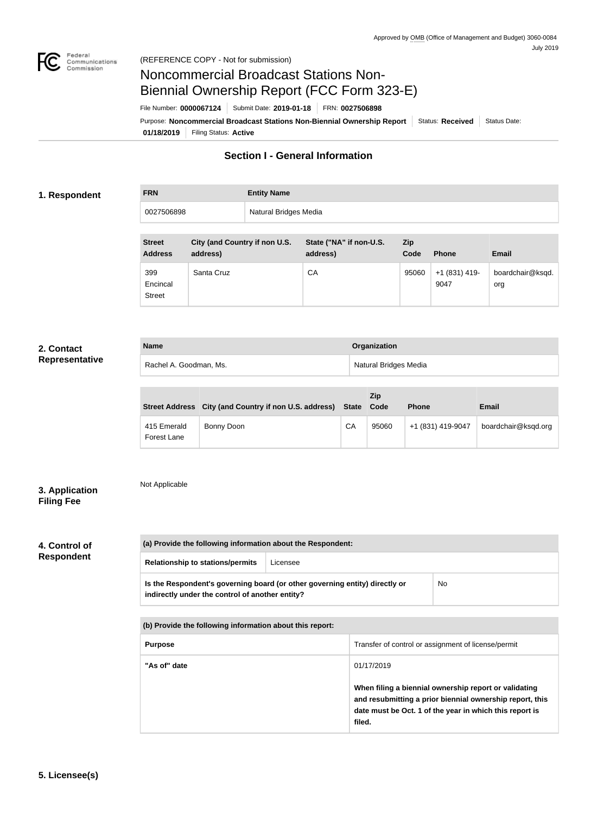

# Noncommercial Broadcast Stations Non-Biennial Ownership Report (FCC Form 323-E)

File Number: **0000067124** Submit Date: **2019-01-18** FRN: **0027506898**

**01/18/2019** Filing Status: **Active** Purpose: **Noncommercial Broadcast Stations Non-Biennial Ownership Report** Status: Received Status Date:

## **Section I - General Information**

#### **1. Respondent**

| Natural Bridges Media<br>0027506898 | <b>FRN</b> | <b>Entity Name</b> |
|-------------------------------------|------------|--------------------|
|                                     |            |                    |

| <b>Street</b><br><b>Address</b>  | City (and Country if non U.S.<br>address) | State ("NA" if non-U.S.<br>address) | <b>Zip</b><br>Code | <b>Phone</b>          | <b>Email</b>            |
|----------------------------------|-------------------------------------------|-------------------------------------|--------------------|-----------------------|-------------------------|
| 399<br>Encincal<br><b>Street</b> | Santa Cruz                                | CA                                  | 95060              | +1 (831) 419-<br>9047 | boardchair@ksqd.<br>org |

#### **2. Contact Representative**

| <b>Name</b>            | Organization          |
|------------------------|-----------------------|
| Rachel A. Goodman, Ms. | Natural Bridges Media |

|                            | Street Address City (and Country if non U.S. address) State |    | <b>Zip</b><br>Code | <b>Phone</b>      | Email               |
|----------------------------|-------------------------------------------------------------|----|--------------------|-------------------|---------------------|
| 415 Emerald<br>Forest Lane | Bonny Doon                                                  | CA | 95060              | +1 (831) 419-9047 | boardchair@ksqd.org |

#### **3. Application Filing Fee**

### Not Applicable

# **4. Control of**

| 4. GONTO OI       |  |
|-------------------|--|
| <b>Respondent</b> |  |

| (a) Provide the following information about the Respondent:                                                                    |          |  |  |  |
|--------------------------------------------------------------------------------------------------------------------------------|----------|--|--|--|
| <b>Relationship to stations/permits</b>                                                                                        | Licensee |  |  |  |
| Is the Respondent's governing board (or other governing entity) directly or<br>indirectly under the control of another entity? | No       |  |  |  |

| (b) Provide the following information about this report: |                                                                                                                                                                                        |  |
|----------------------------------------------------------|----------------------------------------------------------------------------------------------------------------------------------------------------------------------------------------|--|
| <b>Purpose</b>                                           | Transfer of control or assignment of license/permit                                                                                                                                    |  |
| "As of" date                                             | 01/17/2019                                                                                                                                                                             |  |
|                                                          | When filing a biennial ownership report or validating<br>and resubmitting a prior biennial ownership report, this<br>date must be Oct. 1 of the year in which this report is<br>filed. |  |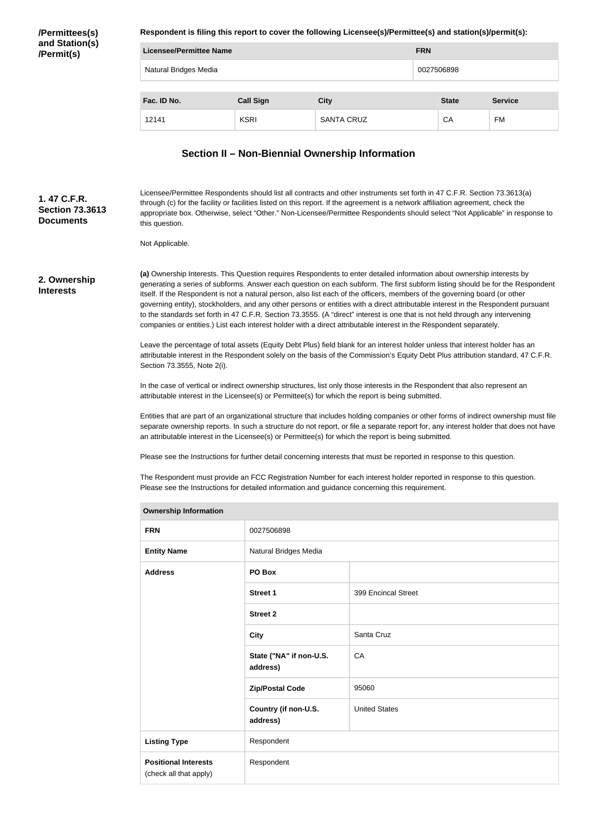**/Permittees(s) and Station(s) /Permit(s)**

**Respondent is filing this report to cover the following Licensee(s)/Permittee(s) and station(s)/permit(s):**

| Licensee/Permittee Name |                   |             |            |                |
|-------------------------|-------------------|-------------|------------|----------------|
| Natural Bridges Media   |                   | 0027506898  |            |                |
| Fac. ID No.             |                   |             |            | <b>Service</b> |
| <b>KSRI</b>             | <b>SANTA CRUZ</b> |             | СA         | FM             |
|                         | <b>Call Sign</b>  | <b>City</b> | <b>FRN</b> | <b>State</b>   |

#### **Section II – Non-Biennial Ownership Information**

Licensee/Permittee Respondents should list all contracts and other instruments set forth in 47 C.F.R. Section 73.3613(a) through (c) for the facility or facilities listed on this report. If the agreement is a network affiliation agreement, check the appropriate box. Otherwise, select "Other." Non-Licensee/Permittee Respondents should select "Not Applicable" in response to this question. **Section 73.3613** 

Not Applicable.

**2. Ownership Interests**

**1. 47 C.F.R.** 

**Documents**

**(a)** Ownership Interests. This Question requires Respondents to enter detailed information about ownership interests by generating a series of subforms. Answer each question on each subform. The first subform listing should be for the Respondent itself. If the Respondent is not a natural person, also list each of the officers, members of the governing board (or other governing entity), stockholders, and any other persons or entities with a direct attributable interest in the Respondent pursuant to the standards set forth in 47 C.F.R. Section 73.3555. (A "direct" interest is one that is not held through any intervening companies or entities.) List each interest holder with a direct attributable interest in the Respondent separately.

Leave the percentage of total assets (Equity Debt Plus) field blank for an interest holder unless that interest holder has an attributable interest in the Respondent solely on the basis of the Commission's Equity Debt Plus attribution standard, 47 C.F.R. Section 73.3555, Note 2(i).

In the case of vertical or indirect ownership structures, list only those interests in the Respondent that also represent an attributable interest in the Licensee(s) or Permittee(s) for which the report is being submitted.

Entities that are part of an organizational structure that includes holding companies or other forms of indirect ownership must file separate ownership reports. In such a structure do not report, or file a separate report for, any interest holder that does not have an attributable interest in the Licensee(s) or Permittee(s) for which the report is being submitted.

Please see the Instructions for further detail concerning interests that must be reported in response to this question.

The Respondent must provide an FCC Registration Number for each interest holder reported in response to this question. Please see the Instructions for detailed information and guidance concerning this requirement.

| <b>Ownership Information</b>                          |                                     |                      |  |  |
|-------------------------------------------------------|-------------------------------------|----------------------|--|--|
| <b>FRN</b>                                            | 0027506898                          |                      |  |  |
| <b>Entity Name</b>                                    | Natural Bridges Media               |                      |  |  |
| <b>Address</b>                                        | PO Box                              |                      |  |  |
|                                                       | <b>Street 1</b>                     | 399 Encincal Street  |  |  |
|                                                       | <b>Street 2</b>                     |                      |  |  |
|                                                       | <b>City</b>                         | Santa Cruz           |  |  |
|                                                       | State ("NA" if non-U.S.<br>address) | CA                   |  |  |
|                                                       | <b>Zip/Postal Code</b>              | 95060                |  |  |
|                                                       | Country (if non-U.S.<br>address)    | <b>United States</b> |  |  |
| <b>Listing Type</b>                                   | Respondent                          |                      |  |  |
| <b>Positional Interests</b><br>(check all that apply) | Respondent                          |                      |  |  |